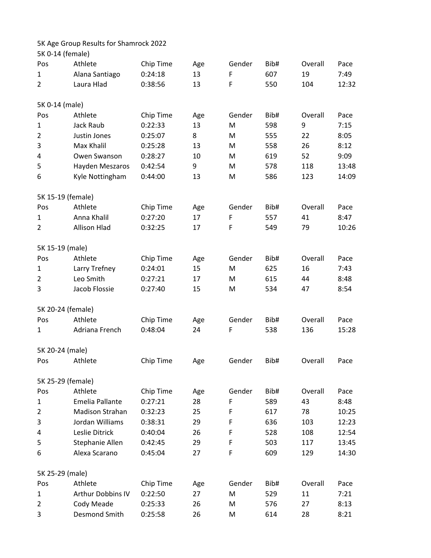## 5K Age Group Results for Shamrock 2022

|                 | 5K 0-14 (female)       |           |     |        |      |         |       |
|-----------------|------------------------|-----------|-----|--------|------|---------|-------|
| Pos             | Athlete                | Chip Time | Age | Gender | Bib# | Overall | Pace  |
| 1               | Alana Santiago         | 0:24:18   | 13  | F      | 607  | 19      | 7:49  |
| 2               | Laura Hlad             | 0:38:56   | 13  | F      | 550  | 104     | 12:32 |
| 5K 0-14 (male)  |                        |           |     |        |      |         |       |
| Pos             | Athlete                | Chip Time | Age | Gender | Bib# | Overall | Pace  |
| 1               | Jack Raub              | 0:22:33   | 13  | M      | 598  | 9       | 7:15  |
| $\overline{2}$  | Justin Jones           | 0:25:07   | 8   | M      | 555  | 22      | 8:05  |
| 3               | Max Khalil             | 0:25:28   | 13  | M      | 558  | 26      | 8:12  |
| 4               | Owen Swanson           | 0:28:27   | 10  | M      | 619  | 52      | 9:09  |
| 5               | Hayden Meszaros        | 0:42:54   | 9   | M      | 578  | 118     | 13:48 |
| 6               | Kyle Nottingham        | 0:44:00   | 13  | M      | 586  | 123     | 14:09 |
|                 | 5K 15-19 (female)      |           |     |        |      |         |       |
| Pos             | Athlete                | Chip Time | Age | Gender | Bib# | Overall | Pace  |
| 1               | Anna Khalil            | 0:27:20   | 17  | F      | 557  | 41      | 8:47  |
| 2               | <b>Allison Hlad</b>    | 0:32:25   | 17  | F      | 549  | 79      | 10:26 |
| 5K 15-19 (male) |                        |           |     |        |      |         |       |
| Pos             | Athlete                | Chip Time | Age | Gender | Bib# | Overall | Pace  |
| $\mathbf{1}$    | Larry Trefney          | 0:24:01   | 15  | M      | 625  | 16      | 7:43  |
| $\overline{2}$  | Leo Smith              | 0:27:21   | 17  | M      | 615  | 44      | 8:48  |
| 3               | Jacob Flossie          | 0:27:40   | 15  | M      | 534  | 47      | 8:54  |
|                 | 5K 20-24 (female)      |           |     |        |      |         |       |
| Pos             | Athlete                | Chip Time | Age | Gender | Bib# | Overall | Pace  |
| 1               | Adriana French         | 0:48:04   | 24  | F      | 538  | 136     | 15:28 |
| 5K 20-24 (male) |                        |           |     |        |      |         |       |
| Pos             | Athlete                | Chip Time | Age | Gender | Bib# | Overall | Pace  |
|                 | 5K 25-29 (female)      |           |     |        |      |         |       |
| Pos             | Athlete                | Chip Time | Age | Gender | Bib# | Overall | Pace  |
| 1               | Emelia Pallante        | 0:27:21   | 28  | F      | 589  | 43      | 8:48  |
| 2               | <b>Madison Strahan</b> | 0:32:23   | 25  | F      | 617  | 78      | 10:25 |
| 3               | Jordan Williams        | 0:38:31   | 29  | F      | 636  | 103     | 12:23 |
| 4               | Leslie Ditrick         | 0:40:04   | 26  | F      | 528  | 108     | 12:54 |
| 5               | Stephanie Allen        | 0:42:45   | 29  | F      | 503  | 117     | 13:45 |
| 6               | Alexa Scarano          | 0:45:04   | 27  | F      | 609  | 129     | 14:30 |
| 5K 25-29 (male) |                        |           |     |        |      |         |       |
| Pos             | Athlete                | Chip Time | Age | Gender | Bib# | Overall | Pace  |
| $\mathbf{1}$    | Arthur Dobbins IV      | 0:22:50   | 27  | M      | 529  | 11      | 7:21  |
| 2               | Cody Meade             | 0:25:33   | 26  | M      | 576  | 27      | 8:13  |
| 3               | Desmond Smith          | 0:25:58   | 26  | M      | 614  | 28      | 8:21  |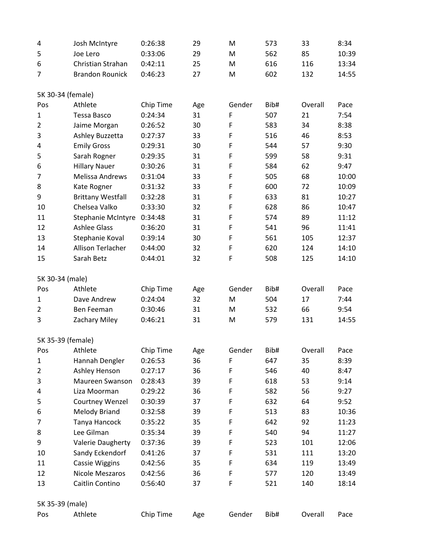| 4                   | Josh McIntyre                      | 0:26:38              | 29        | M      | 573  | 33      | 8:34         |
|---------------------|------------------------------------|----------------------|-----------|--------|------|---------|--------------|
| 5                   | Joe Lero                           | 0:33:06              | 29        | M      | 562  | 85      | 10:39        |
| 6                   | Christian Strahan                  | 0:42:11              | 25        | M      | 616  | 116     | 13:34        |
| 7                   | <b>Brandon Rounick</b>             | 0:46:23              | 27        | M      | 602  | 132     | 14:55        |
|                     |                                    |                      |           |        |      |         |              |
| 5K 30-34 (female)   | Athlete                            |                      |           | Gender | Bib# | Overall |              |
| Pos                 | Tessa Basco                        | Chip Time<br>0:24:34 | Age<br>31 | F      | 507  | 21      | Pace<br>7:54 |
| 1<br>$\overline{2}$ |                                    | 0:26:52              | 30        | F      | 583  | 34      | 8:38         |
| 3                   | Jaime Morgan                       | 0:27:37              | 33        | F      | 516  | 46      | 8:53         |
|                     | Ashley Buzzetta                    | 0:29:31              | 30        | F      | 544  | 57      | 9:30         |
| 4<br>5              | <b>Emily Gross</b><br>Sarah Rogner | 0:29:35              | 31        | F      | 599  | 58      | 9:31         |
| 6                   |                                    | 0:30:26              | 31        | F      | 584  | 62      | 9:47         |
|                     | <b>Hillary Nauer</b>               |                      |           | F      |      |         | 10:00        |
| 7                   | <b>Melissa Andrews</b>             | 0:31:04              | 33        |        | 505  | 68      |              |
| 8                   | Kate Rogner                        | 0:31:32              | 33        | F      | 600  | 72      | 10:09        |
| 9                   | <b>Brittany Westfall</b>           | 0:32:28              | 31        | F      | 633  | 81      | 10:27        |
| 10                  | Chelsea Valko                      | 0:33:30              | 32        | F      | 628  | 86      | 10:47        |
| 11                  | Stephanie McIntyre                 | 0:34:48              | 31        | F      | 574  | 89      | 11:12        |
| 12                  | <b>Ashlee Glass</b>                | 0:36:20              | 31        | F      | 541  | 96      | 11:41        |
| 13                  | Stephanie Koval                    | 0:39:14              | 30        | F      | 561  | 105     | 12:37        |
| 14                  | Allison Terlacher                  | 0:44:00              | 32        | F      | 620  | 124     | 14:10        |
| 15                  | Sarah Betz                         | 0:44:01              | 32        | F      | 508  | 125     | 14:10        |
| 5K 30-34 (male)     |                                    |                      |           |        |      |         |              |
| Pos                 | Athlete                            | Chip Time            | Age       | Gender | Bib# | Overall | Pace         |
| 1                   | Dave Andrew                        | 0:24:04              | 32        | M      | 504  | 17      | 7:44         |
| $\overline{2}$      | Ben Feeman                         | 0:30:46              | 31        | M      | 532  | 66      | 9:54         |
| 3                   | Zachary Miley                      | 0:46:21              | 31        | M      | 579  | 131     | 14:55        |
|                     |                                    |                      |           |        |      |         |              |
| 5K 35-39 (female)   |                                    |                      |           |        |      |         |              |
| Pos                 | Athlete                            | Chip Time            | Age       | Gender | Bib# | Overall | Pace         |
| 1                   | Hannah Dengler                     | 0:26:53              | 36        | F      | 647  | 35      | 8:39         |
| 2                   | Ashley Henson                      | 0:27:17              | 36        | F      | 546  | 40      | 8:47         |
| 3                   | Maureen Swanson                    | 0:28:43              | 39        | F      | 618  | 53      | 9:14         |
| 4                   | Liza Moorman                       | 0:29:22              | 36        | F      | 582  | 56      | 9:27         |
| 5                   | Courtney Wenzel                    | 0:30:39              | 37        | F      | 632  | 64      | 9:52         |
| 6                   | <b>Melody Briand</b>               | 0:32:58              | 39        | F      | 513  | 83      | 10:36        |
| 7                   | Tanya Hancock                      | 0:35:22              | 35        | F      | 642  | 92      | 11:23        |
| 8                   | Lee Gilman                         | 0:35:34              | 39        | F      | 540  | 94      | 11:27        |
| 9                   | <b>Valerie Daugherty</b>           | 0:37:36              | 39        | F      | 523  | 101     | 12:06        |
| 10                  | Sandy Eckendorf                    | 0:41:26              | 37        | F      | 531  | 111     | 13:20        |
| 11                  | <b>Cassie Wiggins</b>              | 0:42:56              | 35        | F      | 634  | 119     | 13:49        |
| 12                  | Nicole Meszaros                    | 0:42:56              | 36        | F      | 577  | 120     | 13:49        |
| 13                  | Caitlin Contino                    | 0:56:40              | 37        | F      | 521  | 140     | 18:14        |
| 5K 35-39 (male)     |                                    |                      |           |        |      |         |              |
| Pos                 | Athlete                            | Chip Time            | Age       | Gender | Bib# | Overall | Pace         |
|                     |                                    |                      |           |        |      |         |              |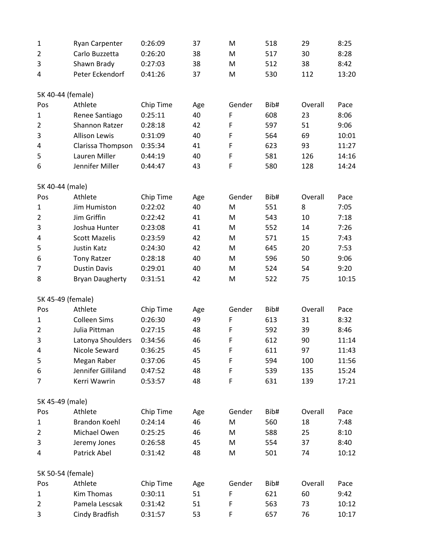| $\mathbf 1$       | <b>Ryan Carpenter</b>  | 0:26:09   | 37  | M      | 518  | 29      | 8:25  |
|-------------------|------------------------|-----------|-----|--------|------|---------|-------|
| $\overline{2}$    | Carlo Buzzetta         | 0:26:20   | 38  | M      | 517  | 30      | 8:28  |
| 3                 | Shawn Brady            | 0:27:03   | 38  | M      | 512  | 38      | 8:42  |
| 4                 | Peter Eckendorf        | 0:41:26   | 37  | M      | 530  | 112     | 13:20 |
| 5K 40-44 (female) |                        |           |     |        |      |         |       |
| Pos               | Athlete                | Chip Time | Age | Gender | Bib# | Overall | Pace  |
| $\mathbf{1}$      | Renee Santiago         | 0:25:11   | 40  | F      | 608  | 23      | 8:06  |
| $\overline{2}$    | Shannon Ratzer         | 0:28:18   | 42  | F      | 597  | 51      | 9:06  |
| 3                 | <b>Allison Lewis</b>   | 0:31:09   | 40  | F      | 564  | 69      | 10:01 |
| 4                 | Clarissa Thompson      | 0:35:34   | 41  | F      | 623  | 93      | 11:27 |
| 5                 | Lauren Miller          | 0:44:19   | 40  | F      | 581  | 126     | 14:16 |
| 6                 | Jennifer Miller        | 0:44:47   | 43  | F      | 580  | 128     | 14:24 |
|                   |                        |           |     |        |      |         |       |
| 5K 40-44 (male)   |                        |           |     |        |      |         |       |
| Pos               | Athlete                | Chip Time | Age | Gender | Bib# | Overall | Pace  |
| $\mathbf{1}$      | Jim Humiston           | 0:22:02   | 40  | M      | 551  | 8       | 7:05  |
| $\overline{2}$    | Jim Griffin            | 0:22:42   | 41  | M      | 543  | 10      | 7:18  |
| 3                 | Joshua Hunter          | 0:23:08   | 41  | M      | 552  | 14      | 7:26  |
| 4                 | <b>Scott Mazelis</b>   | 0:23:59   | 42  | M      | 571  | 15      | 7:43  |
| 5                 | <b>Justin Katz</b>     | 0:24:30   | 42  | M      | 645  | 20      | 7:53  |
| 6                 | <b>Tony Ratzer</b>     | 0:28:18   | 40  | M      | 596  | 50      | 9:06  |
| 7                 | <b>Dustin Davis</b>    | 0:29:01   | 40  | M      | 524  | 54      | 9:20  |
| 8                 | <b>Bryan Daugherty</b> | 0:31:51   | 42  | M      | 522  | 75      | 10:15 |
| 5K 45-49 (female) |                        |           |     |        |      |         |       |
| Pos               | Athlete                | Chip Time | Age | Gender | Bib# | Overall | Pace  |
| $\mathbf{1}$      | <b>Colleen Sims</b>    | 0:26:30   | 49  | F      | 613  | 31      | 8:32  |
| $\overline{2}$    | Julia Pittman          | 0:27:15   | 48  | F      | 592  | 39      | 8:46  |
| 3                 | Latonya Shoulders      | 0:34:56   | 46  | F      | 612  | 90      | 11:14 |
| 4                 | Nicole Seward          | 0:36:25   | 45  | F      | 611  | 97      | 11:43 |
| 5                 | Megan Raber            | 0:37:06   | 45  | F      | 594  | 100     | 11:56 |
| 6                 | Jennifer Gilliland     | 0:47:52   | 48  | F      | 539  | 135     | 15:24 |
| 7                 | Kerri Wawrin           | 0:53:57   | 48  | F      | 631  | 139     | 17:21 |
| 5K 45-49 (male)   |                        |           |     |        |      |         |       |
| Pos               | Athlete                | Chip Time | Age | Gender | Bib# | Overall | Pace  |
| 1                 | <b>Brandon Koehl</b>   | 0:24:14   | 46  | M      | 560  | 18      | 7:48  |
| 2                 | Michael Owen           | 0:25:25   | 46  | M      | 588  | 25      | 8:10  |
| 3                 | Jeremy Jones           | 0:26:58   | 45  | M      | 554  | 37      | 8:40  |
| 4                 | Patrick Abel           | 0:31:42   | 48  | M      | 501  | 74      | 10:12 |
| 5K 50-54 (female) |                        |           |     |        |      |         |       |
| Pos               | Athlete                | Chip Time | Age | Gender | Bib# | Overall | Pace  |
| 1                 | <b>Kim Thomas</b>      | 0:30:11   | 51  | F      | 621  | 60      | 9:42  |
| 2                 | Pamela Lescsak         | 0:31:42   | 51  | F      | 563  | 73      | 10:12 |
| 3                 | Cindy Bradfish         | 0:31:57   | 53  | F      | 657  | 76      | 10:17 |
|                   |                        |           |     |        |      |         |       |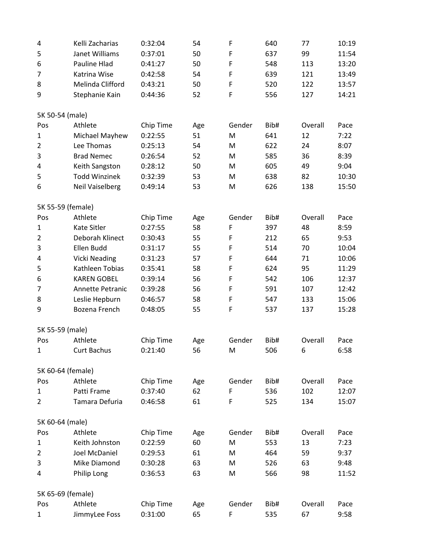| 4                 | Kelli Zacharias        | 0:32:04   | 54  | F           | 640  | 77      | 10:19 |
|-------------------|------------------------|-----------|-----|-------------|------|---------|-------|
| 5                 | Janet Williams         | 0:37:01   | 50  | F           | 637  | 99      | 11:54 |
| 6                 | Pauline Hlad           | 0:41:27   | 50  | F           | 548  | 113     | 13:20 |
| 7                 | Katrina Wise           | 0:42:58   | 54  | $\mathsf F$ | 639  | 121     | 13:49 |
| 8                 | Melinda Clifford       | 0:43:21   | 50  | F           | 520  | 122     | 13:57 |
| 9                 | Stephanie Kain         | 0:44:36   | 52  | F           | 556  | 127     | 14:21 |
|                   |                        |           |     |             |      |         |       |
| 5K 50-54 (male)   |                        |           |     |             |      |         |       |
| Pos               | Athlete                | Chip Time | Age | Gender      | Bib# | Overall | Pace  |
| $\mathbf{1}$      | Michael Mayhew         | 0:22:55   | 51  | M           | 641  | 12      | 7:22  |
| $\overline{2}$    | Lee Thomas             | 0:25:13   | 54  | M           | 622  | 24      | 8:07  |
| 3                 | <b>Brad Nemec</b>      | 0:26:54   | 52  | M           | 585  | 36      | 8:39  |
| 4                 | Keith Sangston         | 0:28:12   | 50  | M           | 605  | 49      | 9:04  |
| 5                 | <b>Todd Winzinek</b>   | 0:32:39   | 53  | M           | 638  | 82      | 10:30 |
| 6                 | <b>Neil Vaiselberg</b> | 0:49:14   | 53  | M           | 626  | 138     | 15:50 |
|                   |                        |           |     |             |      |         |       |
| 5K 55-59 (female) |                        |           |     |             |      |         |       |
| Pos               | Athlete                | Chip Time | Age | Gender      | Bib# | Overall | Pace  |
| $\mathbf{1}$      | Kate Sitler            | 0:27:55   | 58  | F           | 397  | 48      | 8:59  |
| $\overline{2}$    | Deborah Klinect        | 0:30:43   | 55  | F           | 212  | 65      | 9:53  |
| 3                 | Ellen Budd             | 0:31:17   | 55  | F           | 514  | 70      | 10:04 |
| 4                 | <b>Vicki Neading</b>   | 0:31:23   | 57  | F           | 644  | 71      | 10:06 |
| 5                 | Kathleen Tobias        | 0:35:41   | 58  | F           | 624  | 95      | 11:29 |
| 6                 | <b>KAREN GOBEL</b>     | 0:39:14   | 56  | F           | 542  | 106     | 12:37 |
| 7                 | Annette Petranic       | 0:39:28   | 56  | F           | 591  | 107     | 12:42 |
| 8                 | Leslie Hepburn         | 0:46:57   | 58  | F           | 547  | 133     | 15:06 |
| 9                 | Bozena French          | 0:48:05   | 55  | F           | 537  | 137     | 15:28 |
|                   |                        |           |     |             |      |         |       |
| 5K 55-59 (male)   |                        |           |     |             |      |         |       |
| Pos               | Athlete                | Chip Time | Age | Gender      | Bib# | Overall | Pace  |
| $\mathbf{1}$      | <b>Curt Bachus</b>     | 0:21:40   | 56  | M           | 506  | 6       | 6:58  |
|                   |                        |           |     |             |      |         |       |
| 5K 60-64 (female) |                        |           |     |             |      |         |       |
| Pos               | Athlete                | Chip Time | Age | Gender      | Bib# | Overall | Pace  |
| 1                 | Patti Frame            | 0:37:40   | 62  | F           | 536  | 102     | 12:07 |
| $\overline{2}$    | Tamara Defuria         | 0:46:58   | 61  | F           | 525  | 134     | 15:07 |
|                   |                        |           |     |             |      |         |       |
| 5K 60-64 (male)   |                        |           |     |             |      |         |       |
| Pos               | Athlete                | Chip Time | Age | Gender      | Bib# | Overall | Pace  |
| $\mathbf{1}$      | Keith Johnston         | 0:22:59   | 60  | M           | 553  | 13      | 7:23  |
| 2                 | Joel McDaniel          | 0:29:53   | 61  | M           | 464  | 59      | 9:37  |
| 3                 | Mike Diamond           | 0:30:28   | 63  | M           | 526  | 63      | 9:48  |
| 4                 | Philip Long            | 0:36:53   | 63  | M           | 566  | 98      | 11:52 |
|                   |                        |           |     |             |      |         |       |
| 5K 65-69 (female) |                        |           |     |             |      |         |       |
| Pos               | Athlete                | Chip Time | Age | Gender      | Bib# | Overall | Pace  |
| $\mathbf{1}$      | JimmyLee Foss          | 0:31:00   | 65  | F           | 535  | 67      | 9:58  |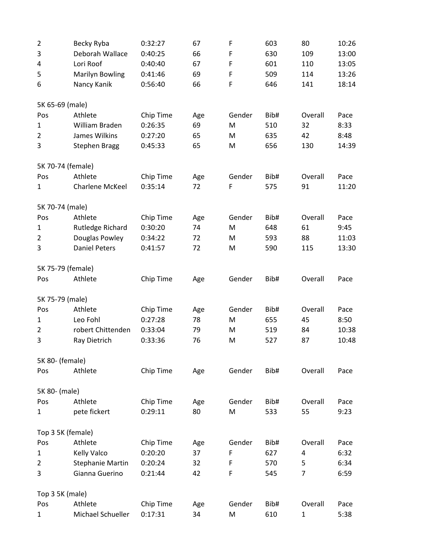| $\overline{2}$    | Becky Ryba              | 0:32:27   | 67  | F           | 603  | 80           | 10:26 |
|-------------------|-------------------------|-----------|-----|-------------|------|--------------|-------|
| 3                 | Deborah Wallace         | 0:40:25   | 66  | F           | 630  | 109          | 13:00 |
| 4                 | Lori Roof               | 0:40:40   | 67  | F           | 601  | 110          | 13:05 |
| 5                 | <b>Marilyn Bowling</b>  | 0:41:46   | 69  | $\mathsf F$ | 509  | 114          | 13:26 |
| 6                 | Nancy Kanik             | 0:56:40   | 66  | F           | 646  | 141          | 18:14 |
| 5K 65-69 (male)   |                         |           |     |             |      |              |       |
| Pos               | Athlete                 | Chip Time | Age | Gender      | Bib# | Overall      | Pace  |
| 1                 | William Braden          | 0:26:35   | 69  | M           | 510  | 32           | 8:33  |
| $\overline{2}$    | James Wilkins           | 0:27:20   | 65  | M           | 635  | 42           | 8:48  |
| 3                 | <b>Stephen Bragg</b>    | 0:45:33   | 65  | M           | 656  | 130          | 14:39 |
| 5K 70-74 (female) |                         |           |     |             |      |              |       |
| Pos               | Athlete                 | Chip Time | Age | Gender      | Bib# | Overall      | Pace  |
| $\mathbf{1}$      | <b>Charlene McKeel</b>  | 0:35:14   | 72  | F           | 575  | 91           | 11:20 |
| 5K 70-74 (male)   |                         |           |     |             |      |              |       |
| Pos               | Athlete                 | Chip Time | Age | Gender      | Bib# | Overall      | Pace  |
| $\mathbf{1}$      | Rutledge Richard        | 0:30:20   | 74  | M           | 648  | 61           | 9:45  |
| $\overline{2}$    | Douglas Powley          | 0:34:22   | 72  | M           | 593  | 88           | 11:03 |
| 3                 | <b>Daniel Peters</b>    | 0:41:57   | 72  | M           | 590  | 115          | 13:30 |
| 5K 75-79 (female) |                         |           |     |             |      |              |       |
| Pos               | Athlete                 | Chip Time | Age | Gender      | Bib# | Overall      | Pace  |
| 5K 75-79 (male)   |                         |           |     |             |      |              |       |
| Pos               | Athlete                 | Chip Time | Age | Gender      | Bib# | Overall      | Pace  |
| $\mathbf{1}$      | Leo Fohl                | 0:27:28   | 78  | M           | 655  | 45           | 8:50  |
| $\overline{2}$    | robert Chittenden       | 0:33:04   | 79  | M           | 519  | 84           | 10:38 |
| 3                 | Ray Dietrich            | 0:33:36   | 76  | M           | 527  | 87           | 10:48 |
| 5K 80- (female)   |                         |           |     |             |      |              |       |
| Pos               | Athlete                 | Chip Time | Age | Gender      | Bib# | Overall      | Pace  |
| 5K 80- (male)     |                         |           |     |             |      |              |       |
| Pos               | Athlete                 | Chip Time | Age | Gender      | Bib# | Overall      | Pace  |
| 1                 | pete fickert            | 0:29:11   | 80  | M           | 533  | 55           | 9:23  |
| Top 3 5K (female) |                         |           |     |             |      |              |       |
| Pos               | Athlete                 | Chip Time | Age | Gender      | Bib# | Overall      | Pace  |
| $\mathbf{1}$      | <b>Kelly Valco</b>      | 0:20:20   | 37  | F           | 627  | 4            | 6:32  |
| 2                 | <b>Stephanie Martin</b> | 0:20:24   | 32  | F           | 570  | 5            | 6:34  |
| 3                 | Gianna Guerino          | 0:21:44   | 42  | F           | 545  | 7            | 6:59  |
| Top 3 5K (male)   |                         |           |     |             |      |              |       |
| Pos               | Athlete                 | Chip Time | Age | Gender      | Bib# | Overall      | Pace  |
| $\mathbf 1$       | Michael Schueller       | 0:17:31   | 34  | M           | 610  | $\mathbf{1}$ | 5:38  |